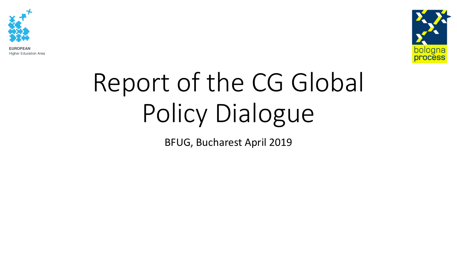

**EUROPEAN Higher Education Area** 



# Report of the CG Global Policy Dialogue

BFUG, Bucharest April 2019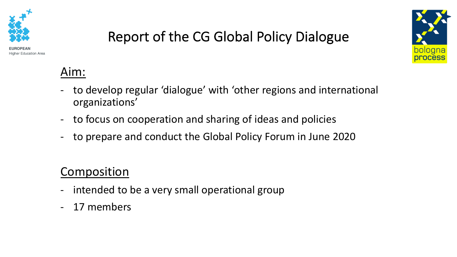





#### Aim:

- to develop regular 'dialogue' with 'other regions and international organizations'
- to focus on cooperation and sharing of ideas and policies
- to prepare and conduct the Global Policy Forum in June 2020

#### Composition

- intended to be a very small operational group
- 17 members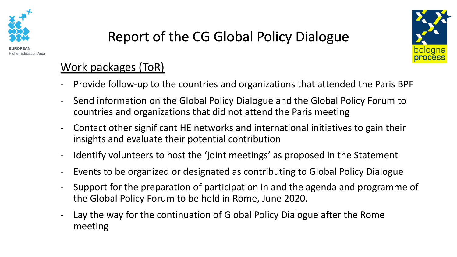



#### Work packages (ToR)

- Provide follow-up to the countries and organizations that attended the Paris BPF
- Send information on the Global Policy Dialogue and the Global Policy Forum to countries and organizations that did not attend the Paris meeting
- Contact other significant HE networks and international initiatives to gain their insights and evaluate their potential contribution
- Identify volunteers to host the 'joint meetings' as proposed in the Statement
- Events to be organized or designated as contributing to Global Policy Dialogue
- Support for the preparation of participation in and the agenda and programme of the Global Policy Forum to be held in Rome, June 2020.
- Lay the way for the continuation of Global Policy Dialogue after the Rome meeting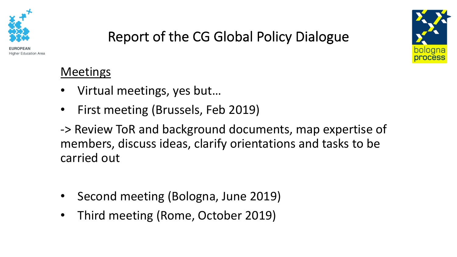

**Education Area** 

## Report of the CG Global Policy Dialogue

**Meetings** 

- Virtual meetings, yes but…
- First meeting (Brussels, Feb 2019)
- -> Review ToR and background documents, map expertise of members, discuss ideas, clarify orientations and tasks to be carried out
- Second meeting (Bologna, June 2019)
- Third meeting (Rome, October 2019)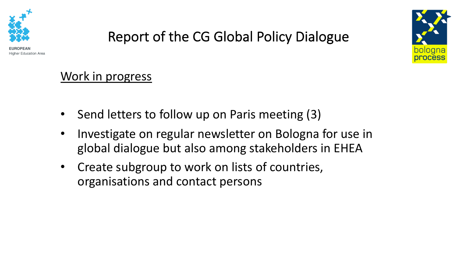



## Report of the CG Global Policy Dialogue

#### Work in progress

- Send letters to follow up on Paris meeting (3)
- Investigate on regular newsletter on Bologna for use in global dialogue but also among stakeholders in EHEA
- Create subgroup to work on lists of countries, organisations and contact persons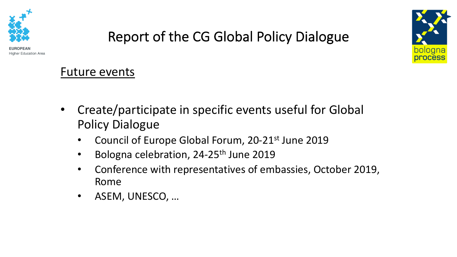



# Report of the CG Global Policy Dialogue

Future events

- Create/participate in specific events useful for Global Policy Dialogue
	- Council of Europe Global Forum, 20-21<sup>st</sup> June 2019
	- Bologna celebration, 24-25<sup>th</sup> June 2019
	- Conference with representatives of embassies, October 2019, Rome
	- ASEM, UNESCO, …